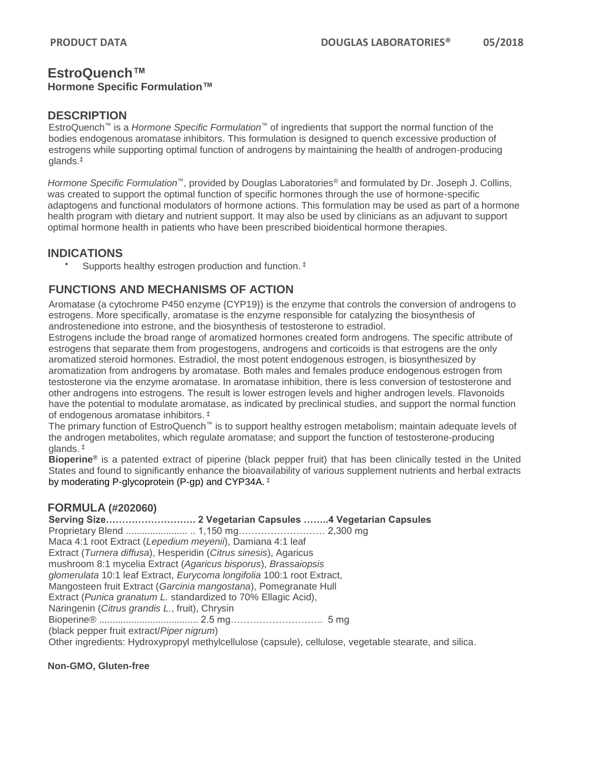# **EstroQuench™**

## **Hormone Specific Formulation™**

## **DESCRIPTION**

EstroQuench™ is a *Hormone Specific Formulation*™ of ingredients that support the normal function of the bodies endogenous aromatase inhibitors. This formulation is designed to quench excessive production of estrogens while supporting optimal function of androgens by maintaining the health of androgen-producing glands. ‡

*Hormone Specific Formulation*™, provided by Douglas Laboratories® and formulated by Dr. Joseph J. Collins, was created to support the optimal function of specific hormones through the use of hormone-specific adaptogens and functional modulators of hormone actions. This formulation may be used as part of a hormone health program with dietary and nutrient support. It may also be used by clinicians as an adjuvant to support optimal hormone health in patients who have been prescribed bioidentical hormone therapies.

## **INDICATIONS**

Supports healthy estrogen production and function.<sup>‡</sup>

## **FUNCTIONS AND MECHANISMS OF ACTION**

Aromatase (a cytochrome P450 enzyme {CYP19}) is the enzyme that controls the conversion of androgens to estrogens. More specifically, aromatase is the enzyme responsible for catalyzing the biosynthesis of androstenedione into estrone, and the biosynthesis of testosterone to estradiol.

Estrogens include the broad range of aromatized hormones created form androgens. The specific attribute of estrogens that separate them from progestogens, androgens and corticoids is that estrogens are the only aromatized steroid hormones. Estradiol, the most potent endogenous estrogen, is biosynthesized by aromatization from androgens by aromatase. Both males and females produce endogenous estrogen from testosterone via the enzyme aromatase. In aromatase inhibition, there is less conversion of testosterone and other androgens into estrogens. The result is lower estrogen levels and higher androgen levels. Flavonoids have the potential to modulate aromatase, as indicated by preclinical studies, and support the normal function of endogenous aromatase inhibitors. ‡

The primary function of EstroQuench™ is to support healthy estrogen metabolism; maintain adequate levels of the androgen metabolites, which regulate aromatase; and support the function of testosterone-producing glands. ‡

**Bioperine®** is a patented extract of piperine (black pepper fruit) that has been clinically tested in the United States and found to significantly enhance the bioavailability of various supplement nutrients and herbal extracts by moderating P-glycoprotein (P-gp) and CYP34A. ‡

## **FORMULA (#202060)**

**Serving Size………………………. 2 Vegetarian Capsules ……..4 Vegetarian Capsules** Proprietary Blend ....................... .. 1,150 mg……………………… 2,300 mg Maca 4:1 root Extract (*Lepedium meyenii*), Damiana 4:1 leaf Extract (*Turnera diffusa*), Hesperidin (*Citrus sinesis*), Agaricus mushroom 8:1 mycelia Extract (*Agaricus bisporus*), *Brassaiopsis glomerulata* 10:1 leaf Extract, *Eurycoma longifolia* 100:1 root Extract, Mangosteen fruit Extract (*Garcinia mangostana*), Pomegranate Hull Extract (*Punica granatum L.* standardized to 70% Ellagic Acid), Naringenin (*Citrus grandis L.*, fruit), Chrysin Bioperine® ..................................... 2.5 mg……………………….. 5 mg (black pepper fruit extract/*Piper nigrum*) Other ingredients: Hydroxypropyl methylcellulose (capsule), cellulose, vegetable stearate, and silica.

**Non-GMO, Gluten-free**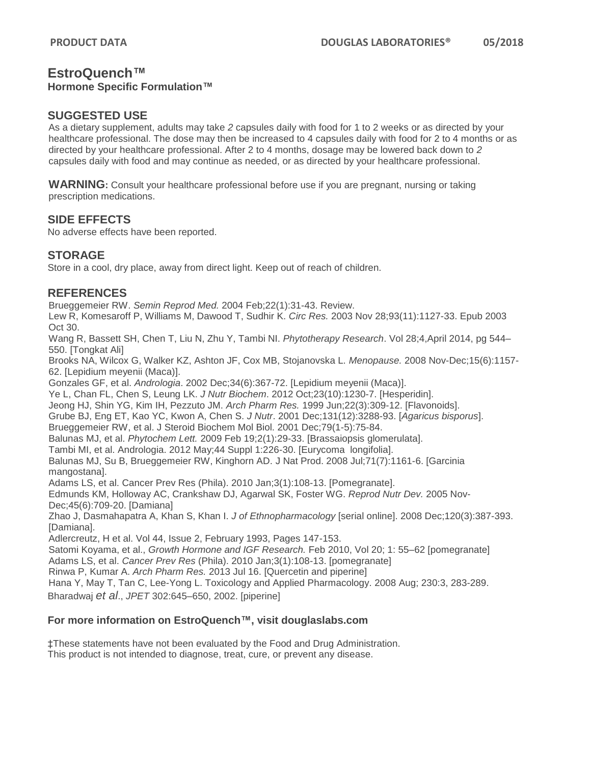# **EstroQuench™**

#### **Hormone Specific Formulation™**

## **SUGGESTED USE**

As a dietary supplement, adults may take *2* capsules daily with food for 1 to 2 weeks or as directed by your healthcare professional. The dose may then be increased to 4 capsules daily with food for 2 to 4 months or as directed by your healthcare professional. After 2 to 4 months, dosage may be lowered back down to *2*  capsules daily with food and may continue as needed, or as directed by your healthcare professional.

**WARNING:** Consult your healthcare professional before use if you are pregnant, nursing or taking prescription medications.

## **SIDE EFFECTS**

No adverse effects have been reported.

#### **STORAGE**

Store in a cool, dry place, away from direct light. Keep out of reach of children.

## **REFERENCES**

Brueggemeier RW. *Semin Reprod Med.* 2004 Feb;22(1):31-43. Review.

Lew R, Komesaroff P, Williams M, Dawood T, Sudhir K. *Circ Res.* 2003 Nov 28;93(11):1127-33. Epub 2003 Oct 30.

Wang R, Bassett SH, Chen T, Liu N, Zhu Y, Tambi NI. *Phytotherapy Research*. Vol 28;4,April 2014, pg 544– 550. [Tongkat Ali]

Brooks NA, Wilcox G, Walker KZ, Ashton JF, Cox MB, Stojanovska L. *Menopause.* 2008 Nov-Dec;15(6):1157- 62. [Lepidium meyenii (Maca)].

Gonzales GF, et al. *Andrologia*. 2002 Dec;34(6):367-72. [Lepidium meyenii (Maca)].

Ye L, Chan FL, Chen S, Leung LK. *J Nutr Biochem*. 2012 Oct;23(10):1230-7. [Hesperidin].

Jeong HJ, Shin YG, Kim IH, Pezzuto JM. *Arch Pharm Res.* 1999 Jun;22(3):309-12. [Flavonoids].

Grube BJ, Eng ET, Kao YC, Kwon A, Chen S. *J Nutr*. 2001 Dec;131(12):3288-93. [*Agaricus bisporus*].

Brueggemeier RW, et al. J Steroid Biochem Mol Biol. 2001 Dec;79(1-5):75-84.

Balunas MJ, et al. *Phytochem Lett.* 2009 Feb 19;2(1):29-33. [Brassaiopsis glomerulata].

Tambi MI, et al. Andrologia. 2012 May;44 Suppl 1:226-30. [Eurycoma longifolia].

Balunas MJ, Su B, Brueggemeier RW, Kinghorn AD. J Nat Prod. 2008 Jul;71(7):1161-6. [Garcinia mangostana].

Adams LS, et al. Cancer Prev Res (Phila). 2010 Jan;3(1):108-13. [Pomegranate].

Edmunds KM, Holloway AC, Crankshaw DJ, Agarwal SK, Foster WG. *Reprod Nutr Dev.* 2005 Nov-Dec;45(6):709-20. [Damiana]

Zhao J, Dasmahapatra A, Khan S, Khan I. *J of Ethnopharmacology* [serial online]. 2008 Dec;120(3):387-393. [Damiana].

Adlercreutz, H et al. Vol 44, Issue 2, February 1993, Pages 147-153.

Satomi Koyama, et al., *Growth Hormone and IGF Research.* Feb 2010, Vol 20; 1: 55–62 [pomegranate]

Adams LS, et al. *Cancer Prev Res* (Phila). 2010 Jan;3(1):108-13. [pomegranate]

Rinwa P, Kumar A. *Arch Pharm Res.* 2013 Jul 16. [Quercetin and piperine]

Hana Y, May T, Tan C, Lee-Yong L. Toxicology and Applied Pharmacology. 2008 Aug; 230:3, 283-289.

Bharadwaj *et al*., *JPET* 302:645–650, 2002. [piperine]

#### **For more information on EstroQuench™, visit douglaslabs.com**

‡These statements have not been evaluated by the Food and Drug Administration. This product is not intended to diagnose, treat, cure, or prevent any disease.